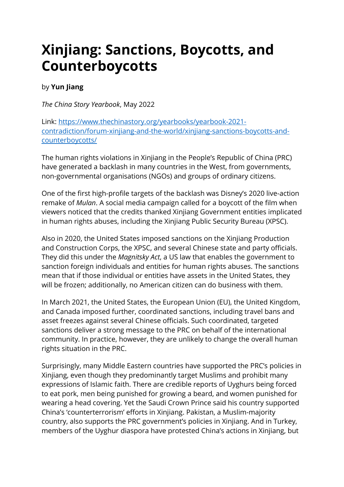## **Xinjiang: Sanctions, Boycotts, and Counterboycotts**

## by **Yun Jiang**

*The China Story Yearbook*, May 2022

Link: [https://www.thechinastory.org/yearbooks/yearbook-2021](https://www.thechinastory.org/yearbooks/yearbook-2021-contradiction/forum-xinjiang-and-the-world/xinjiang-sanctions-boycotts-and-counterboycotts/) [contradiction/forum-xinjiang-and-the-world/xinjiang-sanctions-boycotts-and](https://www.thechinastory.org/yearbooks/yearbook-2021-contradiction/forum-xinjiang-and-the-world/xinjiang-sanctions-boycotts-and-counterboycotts/)[counterboycotts/](https://www.thechinastory.org/yearbooks/yearbook-2021-contradiction/forum-xinjiang-and-the-world/xinjiang-sanctions-boycotts-and-counterboycotts/)

The human rights violations in Xinjiang in the People's Republic of China (PRC) have generated a backlash in many countries in the West, from governments, non-governmental organisations (NGOs) and groups of ordinary citizens.

One of the first high-profile targets of the backlash was Disney's 2020 live-action remake of *Mulan*. A social media campaign called for a boycott of the film when viewers noticed that the credits thanked Xinjiang Government entities implicated in human rights abuses, including the Xinjiang Public Security Bureau (XPSC).

Also in 2020, the United States imposed sanctions on the Xinjiang Production and Construction Corps, the XPSC, and several Chinese state and party officials. They did this under the *Magnitsky Act*, a US law that enables the government to sanction foreign individuals and entities for human rights abuses. The sanctions mean that if those individual or entities have assets in the United States, they will be frozen; additionally, no American citizen can do business with them.

In March 2021, the United States, the European Union (EU), the United Kingdom, and Canada imposed further, coordinated sanctions, including travel bans and asset freezes against several Chinese officials. Such coordinated, targeted sanctions deliver a strong message to the PRC on behalf of the international community. In practice, however, they are unlikely to change the overall human rights situation in the PRC.

Surprisingly, many Middle Eastern countries have supported the PRC's policies in Xinjiang, even though they predominantly target Muslims and prohibit many expressions of Islamic faith. There are credible reports of Uyghurs being forced to eat pork, men being punished for growing a beard, and women punished for wearing a head covering. Yet the Saudi Crown Prince said his country supported China's 'counterterrorism' efforts in Xinjiang. Pakistan, a Muslim-majority country, also supports the PRC government's policies in Xinjiang. And in Turkey, members of the Uyghur diaspora have protested China's actions in Xinjiang, but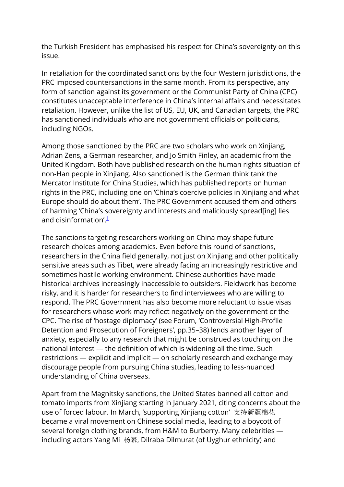the Turkish President has emphasised his respect for China's sovereignty on this issue.

In retaliation for the coordinated sanctions by the four Western jurisdictions, the PRC imposed countersanctions in the same month. From its perspective, any form of sanction against its government or the Communist Party of China (CPC) constitutes unacceptable interference in China's internal affairs and necessitates retaliation. However, unlike the list of US, EU, UK, and Canadian targets, the PRC has sanctioned individuals who are not government officials or politicians, including NGOs.

Among those sanctioned by the PRC are two scholars who work on Xinjiang, Adrian Zens, a German researcher, and Jo Smith Finley, an academic from the United Kingdom. Both have published research on the human rights situation of non-Han people in Xinjiang. Also sanctioned is the German think tank the Mercator Institute for China Studies, which has published reports on human rights in the PRC, including one on 'China's coercive policies in Xinjiang and what Europe should do about them'. The PRC Government accused them and others of harming 'China's sovereignty and interests and maliciously spread[ing] lies and disinformation'  $\frac{1}{1}$ 

The sanctions targeting researchers working on China may shape future research choices among academics. Even before this round of sanctions, researchers in the China field generally, not just on Xinjiang and other politically sensitive areas such as Tibet, were already facing an increasingly restrictive and sometimes hostile working environment. Chinese authorities have made historical archives increasingly inaccessible to outsiders. Fieldwork has become risky, and it is harder for researchers to find interviewees who are willing to respond. The PRC Government has also become more reluctant to issue visas for researchers whose work may reflect negatively on the government or the CPC. The rise of 'hostage diplomacy' (see Forum, 'Controversial High-Profile Detention and Prosecution of Foreigners', pp.35–38) lends another layer of anxiety, especially to any research that might be construed as touching on the national interest — the definition of which is widening all the time. Such restrictions — explicit and implicit — on scholarly research and exchange may discourage people from pursuing China studies, leading to less-nuanced understanding of China overseas.

Apart from the Magnitsky sanctions, the United States banned all cotton and tomato imports from Xinjiang starting in January 2021, citing concerns about the use of forced labour. In March, 'supporting Xinjiang cotton' 支持新疆棉花 became a viral movement on Chinese social media, leading to a boycott of several foreign clothing brands, from H&M to Burberry. Many celebrities including actors Yang Mi 杨幂, Dilraba Dilmurat (of Uyghur ethnicity) and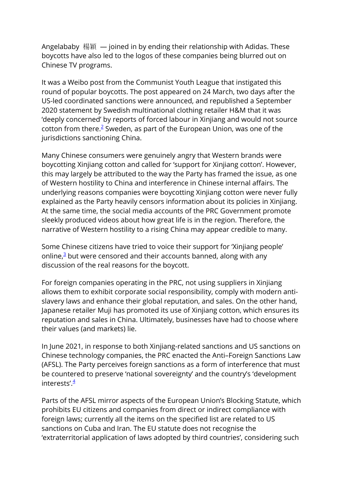Angelababy 楊穎 — joined in by ending their relationship with Adidas. These boycotts have also led to the logos of these companies being blurred out on Chinese TV programs.

It was a Weibo post from the Communist Youth League that instigated this round of popular boycotts. The post appeared on 24 March, two days after the US-led coordinated sanctions were announced, and republished a September 2020 statement by Swedish multinational clothing retailer H&M that it was 'deeply concerned' by reports of forced labour in Xinjiang and would not source cotton from there. $2$  Sweden, as part of the European Union, was one of the jurisdictions sanctioning China.

Many Chinese consumers were genuinely angry that Western brands were boycotting Xinjiang cotton and called for 'support for Xinjiang cotton'. However, this may largely be attributed to the way the Party has framed the issue, as one of Western hostility to China and interference in Chinese internal affairs. The underlying reasons companies were boycotting Xinjiang cotton were never fully explained as the Party heavily censors information about its policies in Xinjiang. At the same time, the social media accounts of the PRC Government promote sleekly produced videos about how great life is in the region. Therefore, the narrative of Western hostility to a rising China may appear credible to many.

Some Chinese citizens have tried to voice their support for 'Xinjiang people' online, $\frac{3}{2}$  but were censored and their accounts banned, along with any discussion of the real reasons for the boycott.

For foreign companies operating in the PRC, not using suppliers in Xinjiang allows them to exhibit corporate social responsibility, comply with modern antislavery laws and enhance their global reputation, and sales. On the other hand, Japanese retailer Muji has promoted its use of Xinjiang cotton, which ensures its reputation and sales in China. Ultimately, businesses have had to choose where their values (and markets) lie.

In June 2021, in response to both Xinjiang-related sanctions and US sanctions on Chinese technology companies, the PRC enacted the Anti–Foreign Sanctions Law (AFSL). The Party perceives foreign sanctions as a form of interference that must be countered to preserve 'national sovereignty' and the country's 'development interests'. $\frac{4}{7}$ 

Parts of the AFSL mirror aspects of the European Union's Blocking Statute, which prohibits EU citizens and companies from direct or indirect compliance with foreign laws; currently all the items on the specified list are related to US sanctions on Cuba and Iran. The EU statute does not recognise the 'extraterritorial application of laws adopted by third countries', considering such